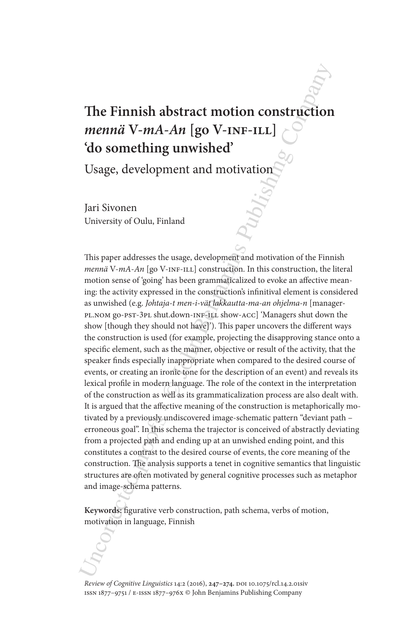# **The Finnish abstract motion construction**  *mennä* **V-***mA-An* **[go V-inf-ill] 'do something unwished'**

Usage, development and motivation

Jari Sivonen University of Oulu, Finland

The Finnish abstract motion construction<br>
menna V-mA-An [go V-INF-LLI]<br>
(do something unwished'<br>
Usage, development and motivation<br>
Tari Sivonen<br>
Dari Sivonen<br>
Dari Sivonen<br>
Dari Sivonen<br>
Dari Sivonen<br>
Dari Sivonen<br>
Dari This paper addresses the usage, development and motivation of the Finnish *mennä* V-*mA*-*An* [go V-INF-ILL] construction. In this construction, the literal motion sense of 'going' has been grammaticalized to evoke an affective meaning: the activity expressed in the construction's infinitival element is considered as unwished (e.g. *Johtaja-t men-i-vät lakkautta-ma-an ohjelma-n* [managerpl.nom go-pst-3pl shut.down-inf-ill show-acc] 'Managers shut down the show [though they should not have]'). This paper uncovers the different ways the construction is used (for example, projecting the disapproving stance onto a specific element, such as the manner, objective or result of the activity, that the speaker finds especially inappropriate when compared to the desired course of events, or creating an ironic tone for the description of an event) and reveals its lexical profile in modern language. The role of the context in the interpretation of the construction as well as its grammaticalization process are also dealt with. It is argued that the affective meaning of the construction is metaphorically motivated by a previously undiscovered image-schematic pattern "deviant path – erroneous goal". In this schema the trajector is conceived of abstractly deviating from a projected path and ending up at an unwished ending point, and this constitutes a contrast to the desired course of events, the core meaning of the construction. The analysis supports a tenet in cognitive semantics that linguistic structures are often motivated by general cognitive processes such as metaphor and image-schema patterns.

**Keywords:** figurative verb construction, path schema, verbs of motion, motivation in language, Finnish

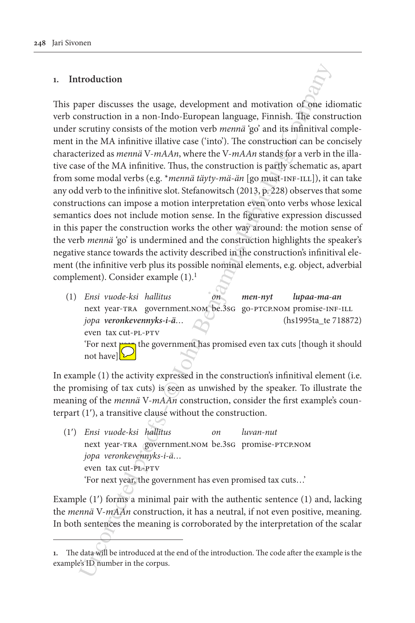# **1. Introduction**

troduction<br>
apper discusses the usage, development and motivation of<br>
construction in a non-Indo-European language, Finnish. The construction<br>
in the MA infinitive illative case ('into'). The construction can be construct This paper discusses the usage, development and motivation of one idiomatic verb construction in a non-Indo-European language, Finnish. The construction under scrutiny consists of the motion verb *mennä* 'go' and its infinitival complement in the MA infinitive illative case ('into'). The construction can be concisely characterized as *mennä* V-*mAAn*, where the V-*mAAn* stands for a verb in the illative case of the MA infinitive. Thus, the construction is partly schematic as, apart from some modal verbs (e.g. \**mennä täyty*-*mä*-*än* [go must-inf-ill]), it can take any odd verb to the infinitive slot. Stefanowitsch (2013, p. 228) observes that some constructions can impose a motion interpretation even onto verbs whose lexical semantics does not include motion sense. In the figurative expression discussed in this paper the construction works the other way around: the motion sense of the verb *mennä* 'go' is undermined and the construction highlights the speaker's negative stance towards the activity described in the construction's infinitival element (the infinitive verb plus its possible nominal elements, e.g. object, adverbial complement). Consider example  $(1).<sup>1</sup>$ 

(1) *Ensi vuode-ksi hallitus on men-nyt lupaa-ma-an* next year-tra government.nom be.3sg go-ptcp.nom promise-INF-ILL *jopa veronkevennyks-i-ä…* (hs1995ta\_te 718872) even tax cut-pl-ptv 'For next **year**, the government has promised even tax cuts [though it should

not have] $\sum$ 

In example (1) the activity expressed in the construction's infinitival element (i.e. the promising of tax cuts) is seen as unwished by the speaker. To illustrate the meaning of the *mennä* V-*mAAn* construction, consider the first example's counterpart (1′), a transitive clause without the construction.

(1′) *Ensi vuode-ksi hallitus on luvan-nut* next year-TRA government.nom be.3sG promise-PTCP.NOM  *jopa veronkevennyks-i-ä…* even tax cut-pl-ptv 'For next year, the government has even promised tax cuts…'

Example (1′) forms a minimal pair with the authentic sentence (1) and, lacking the *mennä* V-*mAAn* construction, it has a neutral, if not even positive, meaning. In both sentences the meaning is corroborated by the interpretation of the scalar

**<sup>1.</sup>** The data will be introduced at the end of the introduction. The code after the example is the example's ID number in the corpus.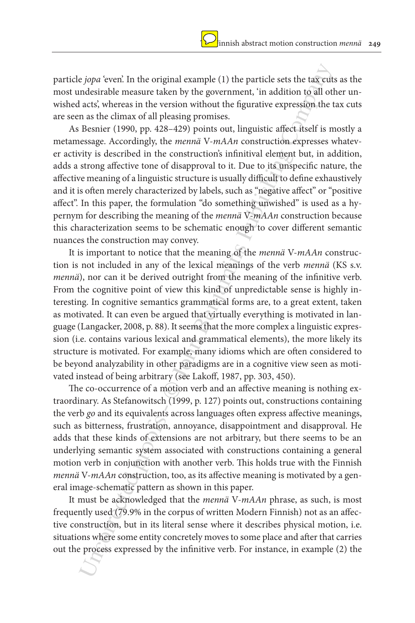particle *jopa* 'even'. In the original example (1) the particle sets the tax cuts as the most undesirable measure taken by the government, 'in addition to all other unwished acts', whereas in the version without the figurative expression the tax cuts are seen as the climax of all pleasing promises.

As Besnier (1990, pp. 428–429) points out, linguistic affect itself is mostly a metamessage. Accordingly, the *mennä* V-*mAAn* construction expresses whatever activity is described in the construction's infinitival element but, in addition, adds a strong affective tone of disapproval to it. Due to its unspecific nature, the affective meaning of a linguistic structure is usually difficult to define exhaustively and it is often merely characterized by labels, such as "negative affect" or "positive affect". In this paper, the formulation "do something unwished" is used as a hypernym for describing the meaning of the *mennä* V-*mAAn* construction because this characterization seems to be schematic enough to cover different semantic nuances the construction may convey.

e *jopa* 'even'. In the original example (1) the particle sets the tax eutid acts; whereas in the version without the figurative expression, the acts; whereas in the version without the figurative expression, the assume a It is important to notice that the meaning of the *mennä* V-*mAAn* construction is not included in any of the lexical meanings of the verb *mennä* (KS s.v. *mennä*), nor can it be derived outright from the meaning of the infinitive verb. From the cognitive point of view this kind of unpredictable sense is highly interesting. In cognitive semantics grammatical forms are, to a great extent, taken as motivated. It can even be argued that virtually everything is motivated in language (Langacker, 2008, p. 88). It seems that the more complex a linguistic expression (i.e. contains various lexical and grammatical elements), the more likely its structure is motivated. For example, many idioms which are often considered to be beyond analyzability in other paradigms are in a cognitive view seen as motivated instead of being arbitrary (see Lakoff, 1987, pp. 303, 450).

The co-occurrence of a motion verb and an affective meaning is nothing extraordinary. As Stefanowitsch (1999, p. 127) points out, constructions containing the verb *go* and its equivalents across languages often express affective meanings, such as bitterness, frustration, annoyance, disappointment and disapproval. He adds that these kinds of extensions are not arbitrary, but there seems to be an underlying semantic system associated with constructions containing a general motion verb in conjunction with another verb. This holds true with the Finnish *mennä* V-*mAAn* construction, too, as its affective meaning is motivated by a general image-schematic pattern as shown in this paper.

It must be acknowledged that the *mennä* V-*mAAn* phrase, as such, is most frequently used (79.9% in the corpus of written Modern Finnish) not as an affective construction, but in its literal sense where it describes physical motion, i.e. situations where some entity concretely moves to some place and after that carries out the process expressed by the infinitive verb. For instance, in example (2) the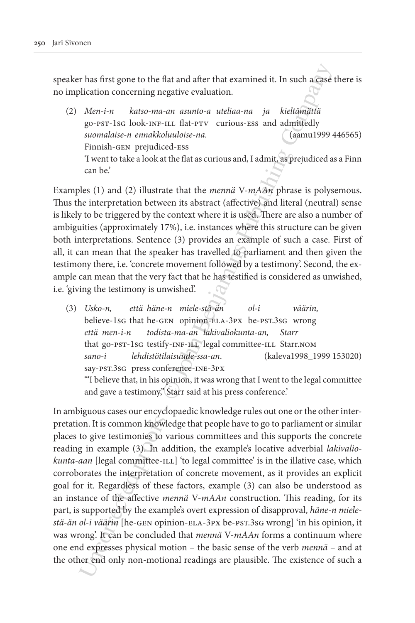speaker has first gone to the flat and after that examined it. In such a case there is no implication concerning negative evaluation.

(2) *Men-i-n katso-ma-an asunto-a uteliaa-na ja kieltämättä* go-pst-1sg look-inf-ill flat-ptv curious-ess and admittedly *suomalaise-n ennakkoluuloise-na.* (aamu1999 446565) Finnish-gen prejudiced-ess 'I went to take a look at the flat as curious and, I admit, as prejudiced as a Finn can be.'

Examples (1) and (2) illustrate that the *mennä* V-*mAAn* phrase is polysemous. Thus the interpretation between its abstract (affective) and literal (neutral) sense is likely to be triggered by the context where it is used. There are also a number of ambiguities (approximately 17%), i.e. instances where this structure can be given both interpretations. Sentence (3) provides an example of such a case. First of all, it can mean that the speaker has travelled to parliament and then given the testimony there, i.e. 'concrete movement followed by a testimony'. Second, the example can mean that the very fact that he has testified is considered as unwished, i.e. 'giving the testimony is unwished'.

(3) *Usko-n, että häne-n miele-stä-än ol-i väärin,* believe-1sg that he-gen opinion-ela-3px be-pst.3sg wrong *että men-i-n todista-ma-an lakivaliokunta-an, Starr* that go-pst-1sG testify-INF-ILL legal committee-ILL Starr.NOM *sano-i lehdistötilaisuude-ssa-an*. (kaleva1998\_1999 153020) say-pst.3sg press conference-ine-3px '"I believe that, in his opinion, it was wrong that I went to the legal committee and gave a testimony," Starr said at his press conference.'

r has first gone to the flat and after that examined it. In such a Case<br>
lication concerning negative evaluation.<br>
Meri-in katso-ma-am asunto-a uteliaa-na ja kieltämättä goo-seri-bes look-suv-int. Bat-ive verticus-ses and In ambiguous cases our encyclopaedic knowledge rules out one or the other interpretation. It is common knowledge that people have to go to parliament or similar places to give testimonies to various committees and this supports the concrete reading in example (3). In addition, the example's locative adverbial *lakivaliokunta-aan* [legal committee-ILL] 'to legal committee' is in the illative case, which corroborates the interpretation of concrete movement, as it provides an explicit goal for it. Regardless of these factors, example (3) can also be understood as an instance of the affective *mennä* V-*mAAn* construction. This reading, for its part, is supported by the example's overt expression of disapproval, *häne-n mielestä-än ol-i väärin* [he-gen opinion-ela-3px be-pst.3sg wrong] 'in his opinion, it was wrong'. It can be concluded that *mennä* V-*mAAn* forms a continuum where one end expresses physical motion – the basic sense of the verb *mennä* – and at the other end only non-motional readings are plausible. The existence of such a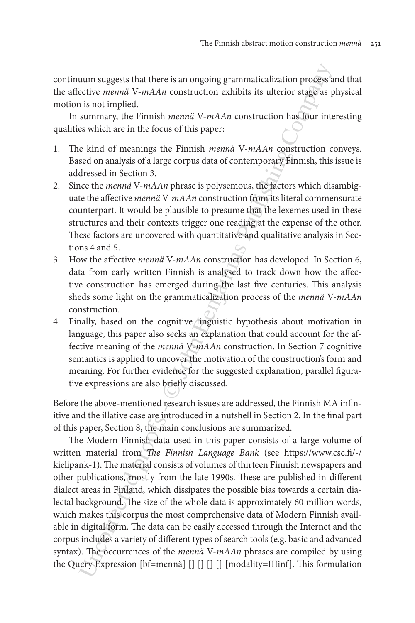continuum suggests that there is an ongoing grammaticalization process and that the affective *mennä* V-*mAAn* construction exhibits its ulterior stage as physical motion is not implied.

In summary, the Finnish *mennä* V-*mAAn* construction has four interesting qualities which are in the focus of this paper:

- 1. The kind of meanings the Finnish *mennä* V-*mAAn* construction conveys. Based on analysis of a large corpus data of contemporary Finnish, this issue is addressed in Section 3.
- 2. Since the *mennä* V-*mAAn* phrase is polysemous, the factors which disambiguate the affective *mennä* V-*mAAn* construction from its literal commensurate counterpart. It would be plausible to presume that the lexemes used in these structures and their contexts trigger one reading at the expense of the other. These factors are uncovered with quantitative and qualitative analysis in Sections 4 and 5.
- 3. How the affective *mennä* V-*mAAn* construction has developed. In Section 6, data from early written Finnish is analysed to track down how the affective construction has emerged during the last five centuries. This analysis sheds some light on the grammaticalization process of the *mennä* V-*mAAn* construction.
- 4. Finally, based on the cognitive linguistic hypothesis about motivation in language, this paper also seeks an explanation that could account for the affective meaning of the *mennä* V-*mAAn* construction. In Section 7 cognitive semantics is applied to uncover the motivation of the construction's form and meaning. For further evidence for the suggested explanation, parallel figurative expressions are also briefly discussed.

Before the above-mentioned research issues are addressed, the Finnish MA infinitive and the illative case are introduced in a nutshell in Section 2. In the final part of this paper, Section 8, the main conclusions are summarized.

uum suggests that there is an ongoing grammaticalization process a<br>citive memai V-mAAn construction exhibits its ulterior stage as p<br>is not implied.<br>In isotheric secondary in the focus of this paper:<br>so which are in the f The Modern Finnish data used in this paper consists of a large volume of written material from *The Finnish Language Bank* (see https://www.csc.fi/-/ kielipank-1). The material consists of volumes of thirteen Finnish newspapers and other publications, mostly from the late 1990s. These are published in different dialect areas in Finland, which dissipates the possible bias towards a certain dialectal background. The size of the whole data is approximately 60 million words, which makes this corpus the most comprehensive data of Modern Finnish available in digital form. The data can be easily accessed through the Internet and the corpus includes a variety of different types of search tools (e.g. basic and advanced syntax). The occurrences of the *mennä* V-*mAAn* phrases are compiled by using the Query Expression [bf=mennä] [] [] [] [] [modality=IIIinf]. This formulation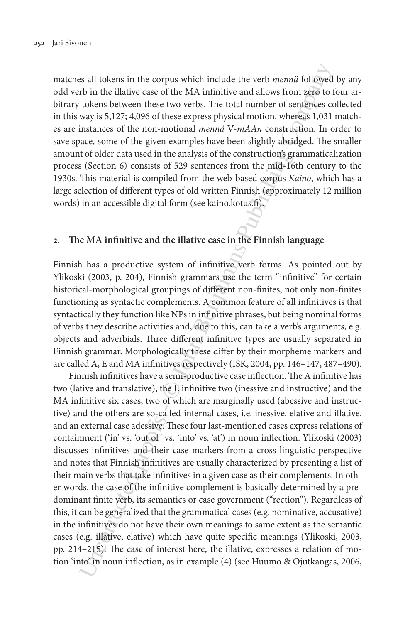matches all tokens in the corpus which include the verb *mennä* followed by any odd verb in the illative case of the MA infinitive and allows from zero to four arbitrary tokens between these two verbs. The total number of sentences collected in this way is 5,127; 4,096 of these express physical motion, whereas 1,031 matches are instances of the non-motional *mennä* V-*mAAn* construction. In order to save space, some of the given examples have been slightly abridged. The smaller amount of older data used in the analysis of the construction's grammaticalization process (Section 6) consists of 529 sentences from the mid-16th century to the 1930s. This material is compiled from the web-based corpus *Kaino*, which has a large selection of different types of old written Finnish (approximately 12 million words) in an accessible digital form (see kaino.kotus.fi).

### **2. The MA infinitive and the illative case in the Finnish language**

Finnish has a productive system of infinitive verb forms. As pointed out by Ylikoski (2003, p. 204), Finnish grammars use the term "infinitive" for certain historical-morphological groupings of different non-finites, not only non-finites functioning as syntactic complements. A common feature of all infinitives is that syntactically they function like NPs in infinitive phrases, but being nominal forms of verbs they describe activities and, due to this, can take a verb's arguments, e.g. objects and adverbials. Three different infinitive types are usually separated in Finnish grammar. Morphologically these differ by their morpheme markers and are called A, E and MA infinitives respectively (ISK, 2004, pp. 146–147, 487–490).

is all tokens in the corpus which include the verb *menna* followed<br>b in the illative case of the MA infinitive and allows from zero to<br>1 tokens between these two versis. The total number of scaringes coro<br>to tokens betwee Finnish infinitives have a semi-productive case inflection. The A infinitive has two (lative and translative), the E infinitive two (inessive and instructive) and the MA infinitive six cases, two of which are marginally used (abessive and instructive) and the others are so-called internal cases, i.e. inessive, elative and illative, and an external case adessive. These four last-mentioned cases express relations of containment ('in' vs. 'out of' vs. 'into' vs. 'at') in noun inflection. Ylikoski (2003) discusses infinitives and their case markers from a cross-linguistic perspective and notes that Finnish infinitives are usually characterized by presenting a list of their main verbs that take infinitives in a given case as their complements. In other words, the case of the infinitive complement is basically determined by a predominant finite verb, its semantics or case government ("rection"). Regardless of this, it can be generalized that the grammatical cases (e.g. nominative, accusative) in the infinitives do not have their own meanings to same extent as the semantic cases (e.g. illative, elative) which have quite specific meanings (Ylikoski, 2003, pp. 214–215). The case of interest here, the illative, expresses a relation of motion 'into' in noun inflection, as in example (4) (see Huumo & Ojutkangas, 2006,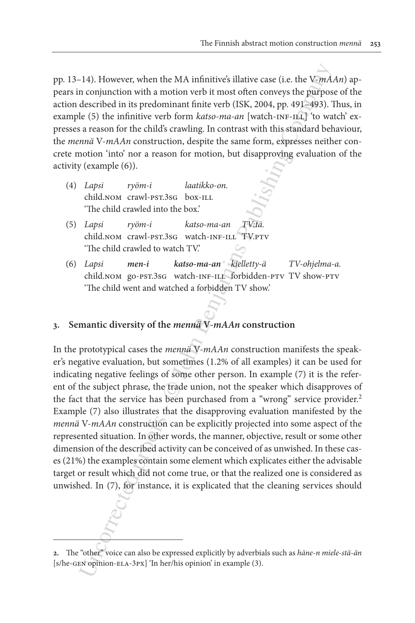pp. 13–14). However, when the MA infinitive's illative case (i.e. the V-*mAAn*) appears in conjunction with a motion verb it most often conveys the purpose of the action described in its predominant finite verb (ISK, 2004, pp. 491–493). Thus, in example (5) the infinitive verb form *katso-ma-an* [watch-INF-ILL] 'to watch' expresses a reason for the child's crawling. In contrast with this standard behaviour, the *mennä* V-*mAAn* construction, despite the same form, expresses neither concrete motion 'into' nor a reason for motion, but disapproving evaluation of the activity (example (6)).

- (4) *Lapsi ryöm-i laatikko-on.* child.nom crawl-pst.3sg box-ILL 'The child crawled into the box.'
- (5) *Lapsi ryöm-i katso-ma-an TV:tä.* child.nom crawl-pst.3sg watch-inf-ill TV.ptv 'The child crawled to watch TV.'
- (6) *Lapsi men-i katso-ma-an kielletty-ä TV-ohjelma-a.* child.nom go-pst.3sg watch-INF-ILL forbidden-PTV TV show-PTV 'The child went and watched a forbidden TV show.'

# **3. Semantic diversity of the** *mennä* **V-***mAAn* **construction**

1-4). However, when the MA infinitive's illative case (i.e. the V<sub>D</sub>mA, conjunction with a motion overb it most offers. 2004, pp. 401-g63). Let  $\epsilon$  (SE) the infinitive verb form *katio-ma*, *cary* (ISK, 2004, pp. 401-g63 In the prototypical cases the *mennä* V-*mAAn* construction manifests the speaker's negative evaluation, but sometimes (1.2% of all examples) it can be used for indicating negative feelings of some other person. In example (7) it is the referent of the subject phrase, the trade union, not the speaker which disapproves of the fact that the service has been purchased from a "wrong" service provider.<sup>2</sup> Example (7) also illustrates that the disapproving evaluation manifested by the *mennä* V-*mAAn* construction can be explicitly projected into some aspect of the represented situation. In other words, the manner, objective, result or some other dimension of the described activity can be conceived of as unwished. In these cases (21%) the examples contain some element which explicates either the advisable target or result which did not come true, or that the realized one is considered as unwished. In (7), for instance, it is explicated that the cleaning services should

**<sup>2.</sup>** The "other" voice can also be expressed explicitly by adverbials such as *häne-n miele-stä-än* [s/he-gen opinion-ela-3px] 'In her/his opinion' in example (3).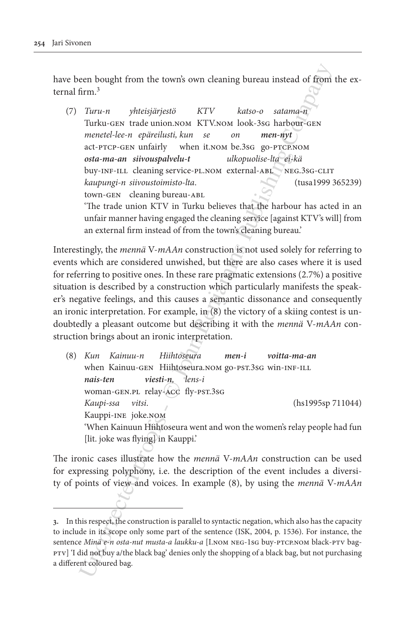have been bought from the town's own cleaning bureau instead of from the external firm<sup>3</sup>

een hought from the towns own cleaning bureau instead of from<br>
firm.<sup>3</sup><br>
Turu-n yhteisjärjestö KTV katso-o statma-in Turku-ors tractically when it.<br>
Turku-ors a tractical term on MCV-NOM look-36s harboric-rest tractical<br> (7) *Turu-n yhteisjärjestö KTV katso-o satama-n* Turku-gen trade union.nom KTV.nom look-3sg harbour-gen *menetel-lee-n epäreilusti, kun se on men-nyt* act-ptcp-gen unfairly when it.nom be.3sg go-ptcp.nom  *osta-ma-an siivouspalvelu-t ulkopuolise-lta ei-kä* buy-INF-ILL cleaning service-PL.NOM external-ABL NEG.3SG-CLIT *kaupungi-n siivoustoimisto-lta*. (tusa1999 365239) town-GEN cleaning bureau-ABL 'The trade union KTV in Turku believes that the harbour has acted in an unfair manner having engaged the cleaning service [against KTV's will] from an external firm instead of from the town's cleaning bureau.'

Interestingly, the *mennä* V-*mAAn* construction is not used solely for referring to events which are considered unwished, but there are also cases where it is used for referring to positive ones. In these rare pragmatic extensions (2.7%) a positive situation is described by a construction which particularly manifests the speaker's negative feelings, and this causes a semantic dissonance and consequently an ironic interpretation. For example, in (8) the victory of a skiing contest is undoubtedly a pleasant outcome but describing it with the *mennä* V-*mAAn* construction brings about an ironic interpretation.

(8) *Kun Kainuu-n Hiihtoseura men-i voitta-ma-an* when Kainuu-GEN Hiihtoseura.nom go-PST.3sG win-INF-ILL *nais-ten viesti-n, lens-i*  woman-gen.pl relay-acc fly-pst.3sg  *Kaupi-ssa vitsi*. (hs1995sp 711044) Kauppi-ine joke.nom 'When Kainuun Hiihtoseura went and won the women's relay people had fun [lit. joke was flying] in Kauppi.'

The ironic cases illustrate how the *mennä* V-*mAAn* construction can be used for expressing polyphony, i.e. the description of the event includes a diversity of points of view and voices. In example (8), by using the *mennä* V-*mAAn*

**<sup>3.</sup>** In this respect, the construction is parallel to syntactic negation, which also has the capacity to include in its scope only some part of the sentence (ISK, 2004, p. 1536). For instance, the sentence *Minä e-n osta-nut musta-a laukku-a* [I.NOM NEG-1SG buy-PTCP.NOM black-PTV bagptv] 'I did not buy a/the black bag' denies only the shopping of a black bag, but not purchasing a different coloured bag.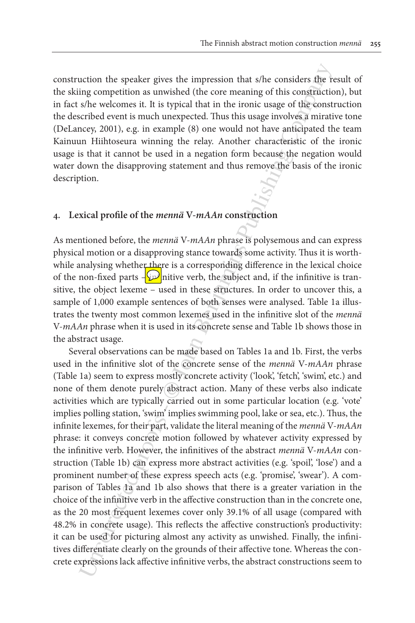construction the speaker gives the impression that s/he considers the result of the skiing competition as unwished (the core meaning of this construction), but in fact s/he welcomes it. It is typical that in the ironic usage of the construction the described event is much unexpected. Thus this usage involves a mirative tone (DeLancey, 2001), e.g. in example (8) one would not have anticipated the team Kainuun Hiihtoseura winning the relay. Another characteristic of the ironic usage is that it cannot be used in a negation form because the negation would water down the disapproving statement and thus remove the basis of the ironic description.

### **4. Lexical profile of the** *mennä* **V-***mAAn* **construction**

As mentioned before, the *mennä* V-*mAAn* phrase is polysemous and can express physical motion or a disapproving stance towards some activity. Thus it is worthwhile analysing whether there is a corresponding difference in the lexical choice of the non-fixed parts  $-\frac{1}{2}$  nitive verb, the subject and, if the infinitive is transitive, the object lexeme – used in these structures. In order to uncover this, a sample of 1,000 example sentences of both senses were analysed. Table 1a illustrates the twenty most common lexemes used in the infinitive slot of the *mennä* V-*mAAn* phrase when it is used in its concrete sense and Table 1b shows those in the abstract usage.

uction the speaker gives the impression that *s/he* considers the riginal comparition as unwished (the core meaning of this construction<br>for the welomes it. It is typical that in the ironic usage in the<br>decometric steribe Several observations can be made based on Tables 1a and 1b. First, the verbs used in the infinitive slot of the concrete sense of the *mennä* V-*mAAn* phrase (Table 1a) seem to express mostly concrete activity ('look', 'fetch', 'swim', etc.) and none of them denote purely abstract action. Many of these verbs also indicate activities which are typically carried out in some particular location (e.g. 'vote' implies polling station, 'swim' implies swimming pool, lake or sea, etc.). Thus, the infinite lexemes, for their part, validate the literal meaning of the *mennä* V-*mAAn*  phrase: it conveys concrete motion followed by whatever activity expressed by the infinitive verb. However, the infinitives of the abstract *mennä* V-*mAAn* construction (Table 1b) can express more abstract activities (e.g. 'spoil', 'lose') and a prominent number of these express speech acts (e.g. 'promise', 'swear'). A comparison of Tables 1a and 1b also shows that there is a greater variation in the choice of the infinitive verb in the affective construction than in the concrete one, as the 20 most frequent lexemes cover only 39.1% of all usage (compared with 48.2% in concrete usage). This reflects the affective construction's productivity: it can be used for picturing almost any activity as unwished. Finally, the infinitives differentiate clearly on the grounds of their affective tone. Whereas the concrete expressions lack affective infinitive verbs, the abstract constructions seem to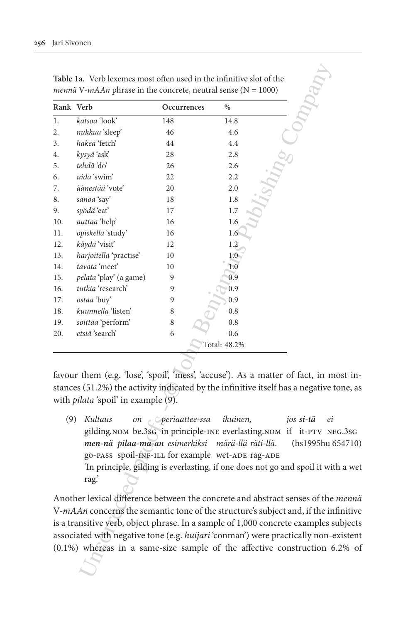| Rank Verb |                                                                                                                           | Occurrences              | $\%$         |                                                                                                                                                                                  |
|-----------|---------------------------------------------------------------------------------------------------------------------------|--------------------------|--------------|----------------------------------------------------------------------------------------------------------------------------------------------------------------------------------|
| 1.        | katsoa 'look'                                                                                                             | 148                      | 14.8         |                                                                                                                                                                                  |
| 2.        | nukkua 'sleep'                                                                                                            | 46                       | 4.6          |                                                                                                                                                                                  |
| 3.        | hakea 'fetch'                                                                                                             | 44                       | 4.4          |                                                                                                                                                                                  |
| 4.        | kysyä 'ask'                                                                                                               | 28                       | 2.8          |                                                                                                                                                                                  |
| 5.        | tehdä 'do'                                                                                                                | 26                       | 2.6          |                                                                                                                                                                                  |
| 6.        | uida 'swim'                                                                                                               | 22                       | 2.2          |                                                                                                                                                                                  |
| 7.        | äänestää 'vote'                                                                                                           | 20                       | 2.0          |                                                                                                                                                                                  |
| 8.        | sanoa 'say'                                                                                                               | 18                       | 1.8          |                                                                                                                                                                                  |
| 9.        | syödä 'eat'                                                                                                               | 17                       | 1.7          |                                                                                                                                                                                  |
| 10.       | auttaa 'help'                                                                                                             | 16                       | 1.6          |                                                                                                                                                                                  |
| 11.       | opiskella 'study'                                                                                                         | 16                       | 1.6          |                                                                                                                                                                                  |
| 12.       | käydä 'visit'                                                                                                             | 12                       | 1.2          |                                                                                                                                                                                  |
| 13.       | harjoitella 'practise'                                                                                                    | 10                       | 1.0          |                                                                                                                                                                                  |
| 14.       | tavata 'meet'                                                                                                             | 10                       | 1.0          |                                                                                                                                                                                  |
| 15.       | pelata 'play' (a game)                                                                                                    | 9                        | 0.9          |                                                                                                                                                                                  |
| 16.       | tutkia 'research'                                                                                                         | 9                        | 0.9          |                                                                                                                                                                                  |
| 17.       | ostaa 'buy'                                                                                                               | 9                        | 0.9          |                                                                                                                                                                                  |
| 18.       | kuunnella 'listen'                                                                                                        | 8                        | 0.8          |                                                                                                                                                                                  |
| 19.       | soittaa 'perform'                                                                                                         | 8                        | 0.8          |                                                                                                                                                                                  |
| 20.       | etsiä 'search'                                                                                                            | 6                        | 0.6          |                                                                                                                                                                                  |
|           |                                                                                                                           |                          | Total: 48.2% |                                                                                                                                                                                  |
|           | favour them (e.g. 'lose', 'spoil', 'mess', 'accuse'). As a matter of fact, in m                                           |                          |              |                                                                                                                                                                                  |
|           | stances (51.2%) the activity indicated by the infinitive itself has a negative t                                          |                          |              |                                                                                                                                                                                  |
|           | with <i>pilata</i> 'spoil' in example (9).                                                                                |                          |              |                                                                                                                                                                                  |
|           |                                                                                                                           |                          |              |                                                                                                                                                                                  |
| (9)       | Kultaus<br>men-nä pilaa-ma-an esimerkiksi märä-llä räti-llä.<br>go-PASS spoil-INF-ILL for example wet-ADE rag-ADE<br>rag' | on <i>periaattee-ssa</i> | ikuinen,     | jos si-tä<br>ei<br>gilding.NOM be.3sG in principle-INE everlasting.NOM if it-PTV NI<br>(hs1995hu 6<br>'In principle, gilding is everlasting, if one does not go and spoil it wit |
|           | Another lexical difference between the concrete and abstract senses of the                                                |                          |              |                                                                                                                                                                                  |
|           | V-mAAn concerns the semantic tone of the structure's subject and, if the in                                               |                          |              |                                                                                                                                                                                  |
|           | is a transitive verb, object phrase. In a sample of 1,000 concrete examples s                                             |                          |              |                                                                                                                                                                                  |
|           | associated with negative tone (e.g. huijari 'conman') were practically non-                                               |                          |              |                                                                                                                                                                                  |
|           | $(0.1\%)$ whereas in a same-size sample of the affective construction $6$                                                 |                          |              |                                                                                                                                                                                  |
|           |                                                                                                                           |                          |              |                                                                                                                                                                                  |

favour them (e.g. 'lose', 'spoil', 'mess', 'accuse'). As a matter of fact, in most instances (51.2%) the activity indicated by the infinitive itself has a negative tone, as with *pilata* 'spoil' in example (9).

(9) *Kultaus on periaattee-ssa ikuinen, jos si-tä ei* gilding*.*nom be.3sg in principle-ine everlasting.nom if it-ptv neg.3sg  *men-nä pilaa-ma-an esimerkiksi märä-llä räti-llä*. (hs1995hu 654710) go-pass spoil-INF-ILL for example wet-ADE rag-ADE 'In principle, gilding is everlasting, if one does not go and spoil it with a wet rag.'

Another lexical difference between the concrete and abstract senses of the *mennä*  V-*mAAn* concerns the semantic tone of the structure's subject and, if the infinitive is a transitive verb, object phrase. In a sample of 1,000 concrete examples subjects associated with negative tone (e.g. *huijari* 'conman') were practically non-existent (0.1%) whereas in a same-size sample of the affective construction 6.2% of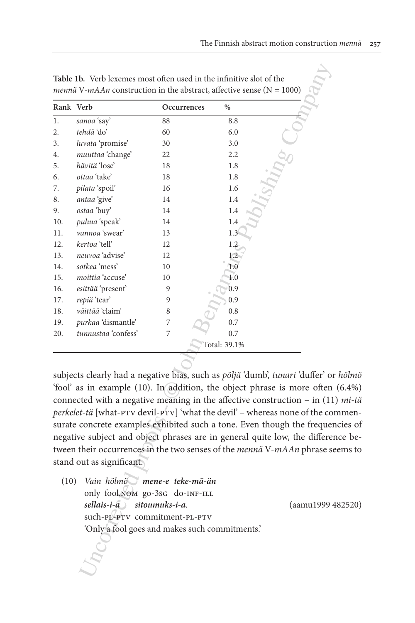|      | Rank Verb                                      | Occurrences | $\%$                                                                                   |  |
|------|------------------------------------------------|-------------|----------------------------------------------------------------------------------------|--|
| 1.   | sanoa 'say'                                    | 88          | 8.8                                                                                    |  |
| 2.   | tehdä 'do'                                     | 60          | 6.0                                                                                    |  |
| 3.   | luvata 'promise'                               | 30          | 3.0                                                                                    |  |
| 4.   | muuttaa 'change'                               | 22          | 2.2                                                                                    |  |
| 5.   | hävitä 'lose'                                  | 18          | 1.8                                                                                    |  |
| 6.   | ottaa 'take'                                   | 18          | 1.8                                                                                    |  |
| 7.   | pilata 'spoil'                                 | 16          | 1.6                                                                                    |  |
| 8.   | antaa 'give'                                   | 14          | 1.4                                                                                    |  |
| 9.   | ostaa 'buy'                                    | 14          | 1.4                                                                                    |  |
| 10.  | puhua 'speak'                                  | 14          | 1.4                                                                                    |  |
| 11.  | vannoa 'swear'                                 | 13          | 1.3                                                                                    |  |
| 12.  | kertoa 'tell'                                  | 12          | 1.2                                                                                    |  |
| 13.  | neuvoa 'advise'                                | 12          | 1.2                                                                                    |  |
| 14.  | sotkea 'mess'                                  | 10          | 1.0                                                                                    |  |
| 15.  | moittia 'accuse'                               | 10          | 1.0                                                                                    |  |
| 16.  | esittää 'present'                              | 9           | 0.9                                                                                    |  |
| 17.  | repiä 'tear'                                   | 9           | 0.9                                                                                    |  |
| 18.  | väittää 'claim'                                | 8           | 0.8                                                                                    |  |
| 19.  | purkaa 'dismantle'                             | 7           | 0.7                                                                                    |  |
| 20.  | tunnustaa 'confess'                            | 7           | 0.7                                                                                    |  |
|      |                                                |             | Total: 39.1%                                                                           |  |
|      |                                                |             |                                                                                        |  |
|      |                                                |             | subjects clearly had a negative bias, such as pöljä 'dumb', tunari 'duffer' or         |  |
|      |                                                |             | 'fool' as in example (10). In addition, the object phrase is more often                |  |
|      |                                                |             | connected with a negative meaning in the affective construction $-$ in $(11)$          |  |
|      |                                                |             | perkelet-tä [what-PTV devil-PTV] 'what the devil' - whereas none of the co             |  |
|      |                                                |             | surate concrete examples exhibited such a tone. Even though the frequer                |  |
|      |                                                |             | negative subject and object phrases are in general quite low, the different            |  |
|      |                                                |             | tween their occurrences in the two senses of the <i>mennä</i> V- <i>mAAn</i> phrase se |  |
|      |                                                |             |                                                                                        |  |
|      | stand out as significant.                      |             |                                                                                        |  |
| (10) | Vain hölmö mene-e teke-mä-än                   |             |                                                                                        |  |
|      | only fool, NOM go-3sG do-INF-ILL               |             |                                                                                        |  |
|      | sellais-i-a) sitoumuks-i-a.                    |             | (aamu1999 4                                                                            |  |
|      | such-PL-PTV commitment-PL-PTV                  |             |                                                                                        |  |
|      | 'Only a fool goes and makes such commitments.' |             |                                                                                        |  |
|      |                                                |             |                                                                                        |  |

subjects clearly had a negative bias, such as *pöljä* 'dumb', *tunari* 'duffer' or *hölmö* 'fool' as in example (10). In addition, the object phrase is more often (6.4%) connected with a negative meaning in the affective construction – in (11) *mi-tä perkelet-tä* [what-ptv devil-ptv] 'what the devil' – whereas none of the commensurate concrete examples exhibited such a tone. Even though the frequencies of negative subject and object phrases are in general quite low, the difference between their occurrences in the two senses of the *mennä* V-*mAAn* phrase seems to stand out as significant.

(10) *Vain hölmö mene-e teke-mä-än* only fool.nom go-3sG do-INF-ILL  *sellais-i-a sitoumuks-i-a*. (aamu1999 482520) such-pl-ptv commitment-pl-ptv 'Only a fool goes and makes such commitments.'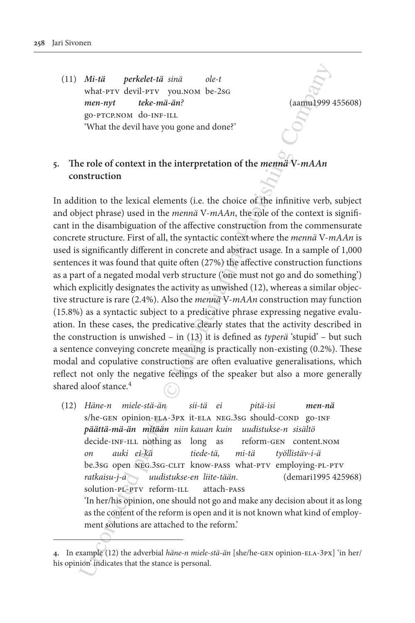(11) *Mi-tä perkelet-tä sinä ole-t* what-ptv devil-ptv you.nom be-2sg *men-nyt teke-mä-än?* (aamu1999 455608) go-ptcp.nom do-inf-ill 'What the devil have you gone and done?'

# **5. The role of context in the interpretation of the** *mennä* **V-***mAAn* **construction**

Mi-tiä perkelet-tiä sinä ole-t<br>
what-prv devil-prv youxoon be-2so<br>
men-myt devina-mie<br>
go-prectnos do-1st-11.<br>
go-prectnos do-1st-11.<br>
"Company do-1st-11.<br>
"What the devil have you gone and done?"<br>
Dependents (i.e. the ch In addition to the lexical elements (i.e. the choice of the infinitive verb, subject and object phrase) used in the *mennä* V-*mAAn*, the role of the context is significant in the disambiguation of the affective construction from the commensurate concrete structure. First of all, the syntactic context where the *mennä* V-*mAAn* is used is significantly different in concrete and abstract usage. In a sample of 1,000 sentences it was found that quite often (27%) the affective construction functions as a part of a negated modal verb structure ('one must not go and do something') which explicitly designates the activity as unwished (12), whereas a similar objective structure is rare (2.4%). Also the *mennä* V-*mAAn* construction may function (15.8%) as a syntactic subject to a predicative phrase expressing negative evaluation. In these cases, the predicative clearly states that the activity described in the construction is unwished – in (13) it is defined as *typerä* 'stupid' – but such a sentence conveying concrete meaning is practically non-existing (0.2%). These modal and copulative constructions are often evaluative generalisations, which reflect not only the negative feelings of the speaker but also a more generally shared aloof stance.<sup>4</sup>

(12) *Häne-n miele-stä-än sii-tä ei pitä-isi men-nä* s/he-GEN opinion-ELA-3PX it-ELA NEG.3sG should-COND go-INF *päättä-mä-än mitään niin kauan kuin uudistukse-n sisältö* decide-INF-ILL nothing as long as reform-GEN content.NOM *on auki ei-kä tiede-tä, mi-tä työllistäv-i-ä* be.3sg open NEG.3sG-CLIT know-pass what-PTV employing-PL-PTV *ratkaisu-j-a uudistukse-en liite-tään*. (demari1995 425968) solution-pl-ptv reform-ill attach-pass 'In her/his opinion, one should not go and make any decision about it as long as the content of the reform is open and it is not known what kind of employment solutions are attached to the reform.'

**<sup>4.</sup>** In example (12) the adverbial *häne-n miele-stä-än* [she/he-gen opinion-ela-3px] 'in her/ his opinion' indicates that the stance is personal.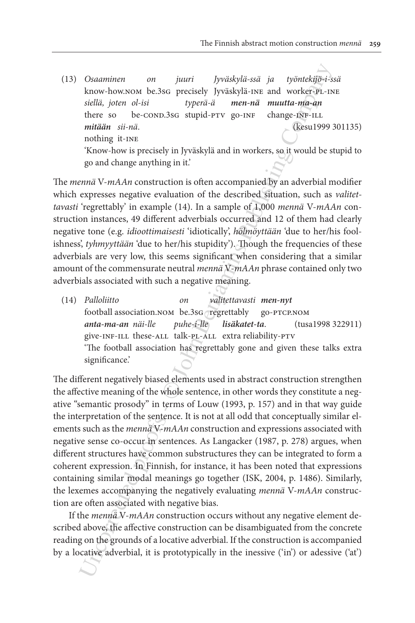(13) *Osaaminen on juuri Jyväskylä-ssä ja työntekijö-i-ssä* know-how.nom be.3sG precisely Jyväskylä-INE and worker-PL-INE *siellä, joten ol-isi typerä-ä men-nä muutta-ma-an* there so be-COND.3sG stupid-PTV go-INF change-INF-ILL *mitään sii-nä*. (kesu1999 301135) nothing it-ine 'Know-how is precisely in Jyväskylä and in workers, so it would be stupid to go and change anything in it.'

The *mennä* V-*mAAn* construction is often accompanied by an adverbial modifier which expresses negative evaluation of the described situation, such as *valitettavasti* 'regrettably' in example (14). In a sample of 1,000 *mennä* V-*mAAn* construction instances, 49 different adverbials occurred and 12 of them had clearly negative tone (e.g. *idioottimaisesti* 'idiotically', *hölmöyttään* 'due to her/his foolishness', *tyhmyyttään* 'due to her/his stupidity'). Though the frequencies of these adverbials are very low, this seems significant when considering that a similar amount of the commensurate neutral *mennä* V-*mAAn* phrase contained only two adverbials associated with such a negative meaning.

(14) *Palloliitto on valitettavasti men-nyt* football association.nom be.3sg regrettably go-PTCP.NOM *anta-ma-an näi-lle puhe-i-lle lisäkatet-ta*. (tusa1998 322911) give-INF-ILL these-ALL talk-PL-ALL extra reliability-PTV 'The football association has regrettably gone and given these talks extra significance.'

Osaminen on juuri Jyväskylä-ssä ja työntekijä-iskuv-howaton be.<br>36<br/>correctedly pydiskylä-inst and workey-protingly-iskuv-howaton belia digitary of<br/>the second of the metalling differed and the metalling differed pr The different negatively biased elements used in abstract construction strengthen the affective meaning of the whole sentence, in other words they constitute a negative "semantic prosody" in terms of Louw (1993, p. 157) and in that way guide the interpretation of the sentence. It is not at all odd that conceptually similar elements such as the *mennä* V-*mAAn* construction and expressions associated with negative sense co-occur in sentences. As Langacker (1987, p. 278) argues, when different structures have common substructures they can be integrated to form a coherent expression. In Finnish, for instance, it has been noted that expressions containing similar modal meanings go together (ISK, 2004, p. 1486). Similarly, the lexemes accompanying the negatively evaluating *mennä* V-*mAAn* construction are often associated with negative bias.

If the *mennä* V-*mAAn* construction occurs without any negative element described above, the affective construction can be disambiguated from the concrete reading on the grounds of a locative adverbial. If the construction is accompanied by a locative adverbial, it is prototypically in the inessive ('in') or adessive ('at')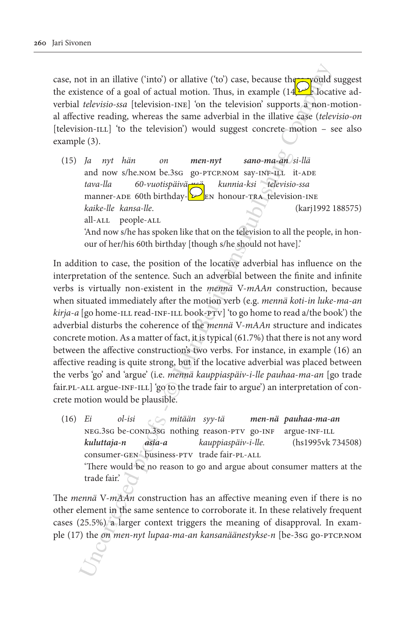case, not in an illative ('into') or allative ('to') case, because the yould suggest the existence of a goal of actual motion. Thus, in example  $(14)$  locative adverbial *televisio-ssa* [television-ine] 'on the television' supports a non-motional affective reading, whereas the same adverbial in the illative case (*televisio-on* [television-ILL] 'to the television') would suggest concrete motion – see also example (3).

(15) *Ja nyt hän on men-nyt sano-ma-an si-llä* and now s/he.nom be.3sG go-PTCP.NOM say-INF-ILL it-ADE *tava-lla 60-vuotispäivä-nsä kunnia-ksi televisio-ssa* manner-ADE 60th birthday- $\sum_{k=1}^{\infty}$ RN honour-TRA television-INE *kaike-lle kansa-lle*. (karj1992 188575) all-ALL people-ALL 'And now s/he has spoken like that on the television to all the people, in honour of her/his 60th birthday [though s/he should not have].'

ot in an illative ('into') or allative ('to') case, because the conduction series or a goal of actual motion. Thus, in example (1422-10cet televisions (lelevisions - Digit) on the television is upposed concrete. motion is In addition to case, the position of the locative adverbial has influence on the interpretation of the sentence. Such an adverbial between the finite and infinite verbs is virtually non-existent in the *mennä* V-*mAAn* construction, because when situated immediately after the motion verb (e.g. *mennä koti*-*in luke*-*ma*-*an kirja*-*a* [go home-ill read-inf-ill book-ptv] 'to go home to read a/the book') the adverbial disturbs the coherence of the *mennä* V-*mAAn* structure and indicates concrete motion. As a matter of fact, it is typical (61.7%) that there is not any word between the affective construction's two verbs. For instance, in example (16) an affective reading is quite strong, but if the locative adverbial was placed between the verbs 'go' and 'argue' (i.e. *mennä kauppiaspäiv*-*i*-*lle pauhaa*-*ma*-*an* [go trade fair. PL-ALL argue-INF-ILL] 'go to the trade fair to argue') an interpretation of concrete motion would be plausible.

(16) *Ei ol-isi mitään syy-tä men-nä pauhaa-ma-an* neg.3sg be-cond.3sg nothing reason-ptv go-inf argue-inf-ill *kuluttaja-n asia-a kauppiaspäiv-i-lle.* (hs1995vk 734508) consumer-GEN business-PTV trade fair-PL-ALL 'There would be no reason to go and argue about consumer matters at the trade fair.'

The *mennä* V-*mAAn* construction has an affective meaning even if there is no other element in the same sentence to corroborate it. In these relatively frequent cases (25.5%) a larger context triggers the meaning of disapproval. In example (17) the *on men-nyt lupaa-ma-an kansanäänestykse-n* [be-3sg go-ptcp.nom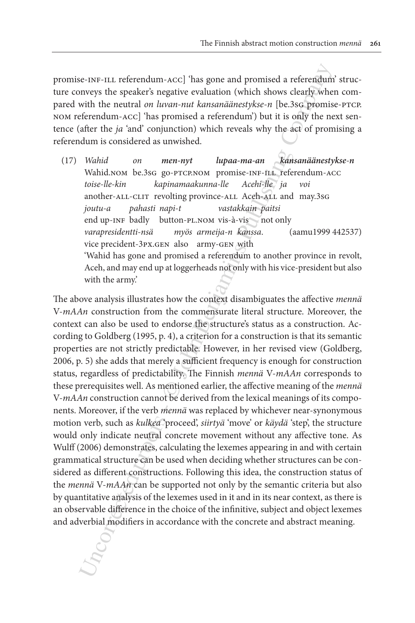promise-inf-ill referendum-acc] 'has gone and promised a referendum' structure conveys the speaker's negative evaluation (which shows clearly when compared with the neutral *on luvan-nut kansanäänestykse*-*n* [be.3sg promise-ptcp. nom referendum-acc] 'has promised a referendum') but it is only the next sentence (after the *ja* 'and' conjunction) which reveals why the act of promising a referendum is considered as unwished.

(17) *Wahid on men-nyt lupaa-ma-an kansanäänestykse-n* Wahid.nom be.3sG go-PTCP.NOM promise-INF-ILL referendum-ACC *toise-lle-kin kapinamaakunna-lle Acehi-lle ja voi* another-all-clit revolting province-all Aceh-all and may.3sg *joutu-a pahasti napi-t vastakkain paitsi* end up-inf badly button-pl.nom vis-à-vis not only *varapresidentti-nsä myös armeija-n kanssa*. (aamu1999 442537) vice precident-3px.gen also army-gen with 'Wahid has gone and promised a referendum to another province in revolt, Aceh, and may end up at loggerheads not only with his vice-president but also with the army.'

ise.<br>186-1818-1111-111. referendum-Acc] 'has gone and promised a referendum<br>weys the speaker's negative evaluation (which shows clearly when<br>differend paramela and more mut kansanianeary<br>bose-net because why the self-of p The above analysis illustrates how the context disambiguates the affective *mennä*  V-*mAAn* construction from the commensurate literal structure. Moreover, the context can also be used to endorse the structure's status as a construction. According to Goldberg (1995, p. 4), a criterion for a construction is that its semantic properties are not strictly predictable. However, in her revised view (Goldberg, 2006, p. 5) she adds that merely a sufficient frequency is enough for construction status, regardless of predictability. The Finnish *mennä* V-*mAAn* corresponds to these prerequisites well. As mentioned earlier, the affective meaning of the *mennä* V-*mAAn* construction cannot be derived from the lexical meanings of its components. Moreover, if the verb *mennä* was replaced by whichever near-synonymous motion verb, such as *kulkea* 'proceed', *siirtyä* 'move' or *käydä* 'step', the structure would only indicate neutral concrete movement without any affective tone. As Wulff (2006) demonstrates, calculating the lexemes appearing in and with certain grammatical structure can be used when deciding whether structures can be considered as different constructions. Following this idea, the construction status of the *mennä* V-*mAAn* can be supported not only by the semantic criteria but also by quantitative analysis of the lexemes used in it and in its near context, as there is an observable difference in the choice of the infinitive, subject and object lexemes and adverbial modifiers in accordance with the concrete and abstract meaning.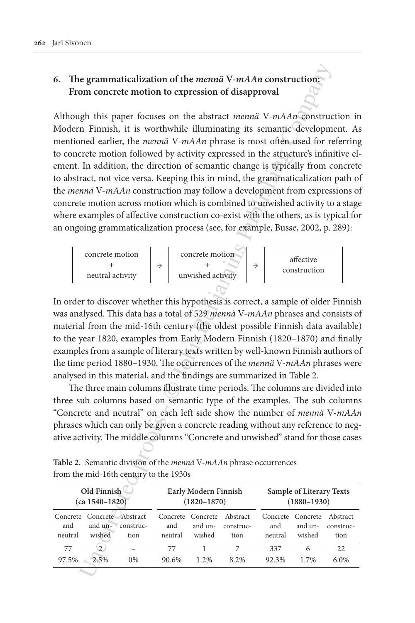# **6. The grammaticalization of the** *mennä* **V-***mAAn* **construction: From concrete motion to expression of disapproval**

e grammaticalization of the *menna* V-*mAAn* construction<br>
and concrete motion to expression of disapproval<br>
glp this paper focuses on the abstract *menna* V-*mAAn*-Constructed properties, the *menna* V-*mAAn* bunnaiting Although this paper focuses on the abstract *mennä* V-*mAAn* construction in Modern Finnish, it is worthwhile illuminating its semantic development. As mentioned earlier, the *mennä* V-*mAAn* phrase is most often used for referring to concrete motion followed by activity expressed in the structure's infinitive element. In addition, the direction of semantic change is typically from concrete to abstract, not vice versa. Keeping this in mind, the grammaticalization path of the *mennä* V-*mAAn* construction may follow a development from expressions of concrete motion across motion which is combined to unwished activity to a stage where examples of affective construction co-exist with the others, as is typical for an ongoing grammaticalization process (see, for example, Busse, 2002, p. 289):



In order to discover whether this hypothesis is correct, a sample of older Finnish was analysed. This data has a total of 529 *mennä* V-*mAAn* phrases and consists of material from the mid-16th century (the oldest possible Finnish data available) to the year 1820, examples from Early Modern Finnish (1820–1870) and finally examples from a sample of literary texts written by well-known Finnish authors of the time period 1880–1930. The occurrences of the *mennä* V-*mAAn* phrases were analysed in this material, and the findings are summarized in Table 2.

The three main columns illustrate time periods. The columns are divided into three sub columns based on semantic type of the examples. The sub columns "Concrete and neutral" on each left side show the number of *mennä* V-*mAAn* phrases which can only be given a concrete reading without any reference to negative activity. The middle columns "Concrete and unwished" stand for those cases

| Old Finnish<br>$(ca 1540 - 1820)$ |                                                                      | Early Modern Finnish<br>$(1820 - 1870)$ |                |                                        | Sample of Literary Texts<br>$(1880 - 1930)$ |                |                                        |                               |
|-----------------------------------|----------------------------------------------------------------------|-----------------------------------------|----------------|----------------------------------------|---------------------------------------------|----------------|----------------------------------------|-------------------------------|
| and<br>neutral                    | Concrete Concrete Abstract<br>and $\mathbf{u}\mathbf{n}$ -<br>wished | construc-<br>tion                       | and<br>neutral | Concrete Concrete<br>and un-<br>wished | Abstract<br>construc-<br>tion               | and<br>neutral | Concrete Concrete<br>and un-<br>wished | Abstract<br>construc-<br>tion |
| 77<br>97.5%                       | $\mathfrak{D}$<br>2.5%                                               | 0%                                      | 77<br>90.6%    | $1.2\%$                                | 8.2%                                        | 337<br>92.3%   | 6<br>1.7%                              | 22<br>6.0%                    |
|                                   |                                                                      |                                         |                |                                        |                                             |                |                                        |                               |

**Table 2.** Semantic division of the *mennä* V-*mAAn* phrase occurrences from the mid-16th century to the 1930s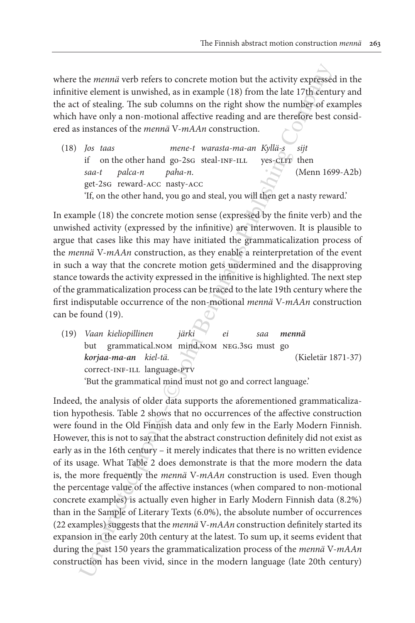where the *mennä* verb refers to concrete motion but the activity expressed in the infinitive element is unwished, as in example (18) from the late 17th century and the act of stealing. The sub columns on the right show the number of examples which have only a non-motional affective reading and are therefore best considered as instances of the *mennä* V-*mAAn* construction.

(18) *Jos taas mene-t warasta-ma-an Kyllä-s sijt* if on the other hand go-2sG steal-INF-ILL yes-CLIT then *saa-t palca-n paha-n*. (Menn 1699-A2b) get-2sg reward-acc nasty-acc 'If, on the other hand, you go and steal, you will then get a nasty reward.'

In example (18) the concrete motion sense (expressed by the finite verb) and the unwished activity (expressed by the infinitive) are interwoven. It is plausible to argue that cases like this may have initiated the grammaticalization process of the *mennä* V-*mAAn* construction, as they enable a reinterpretation of the event in such a way that the concrete motion gets undermined and the disapproving stance towards the activity expressed in the infinitive is highlighted. The next step of the grammaticalization process can be traced to the late 19th century where the first indisputable occurrence of the non-motional *mennä* V-*mAAn* construction can be found (19).

(19) *Vaan kieliopillinen järki ei saa mennä* but grammatical.nom mind.nom neg.3sg must go *korjaa-ma-an kiel-tä.* (Kieletär 1871-37) correct-inf-ill language-ptv 'But the grammatical mind must not go and correct language.'

the *menuid* verb refers to concrete motion but the activity expresses<br>ve element is unwished, as in example (18) from the late 17 h/e card<br>and random of stealing. The sub columns on the right show the numbigive<br>of extend Indeed, the analysis of older data supports the aforementioned grammaticalization hypothesis. Table 2 shows that no occurrences of the affective construction were found in the Old Finnish data and only few in the Early Modern Finnish. However, this is not to say that the abstract construction definitely did not exist as early as in the 16th century – it merely indicates that there is no written evidence of its usage. What Table 2 does demonstrate is that the more modern the data is, the more frequently the *mennä* V-*mAAn* construction is used. Even though the percentage value of the affective instances (when compared to non-motional concrete examples) is actually even higher in Early Modern Finnish data (8.2%) than in the Sample of Literary Texts (6.0%), the absolute number of occurrences (22 examples) suggests that the *mennä* V-*mAAn* construction definitely started its expansion in the early 20th century at the latest. To sum up, it seems evident that during the past 150 years the grammaticalization process of the *mennä* V-*mAAn*  construction has been vivid, since in the modern language (late 20th century)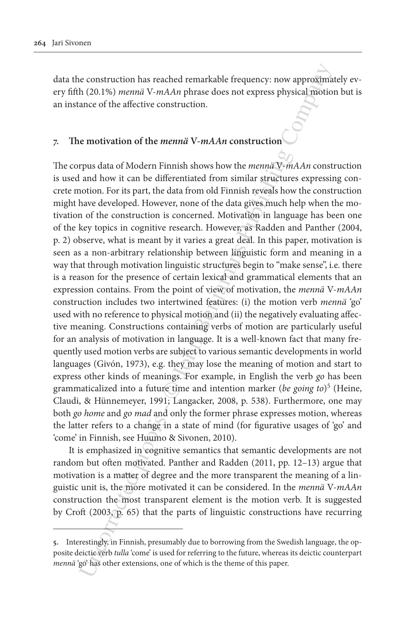data the construction has reached remarkable frequency: now approximately every fifth (20.1%) *mennä* V-*mAAn* phrase does not express physical motion but is an instance of the affective construction.

# **7. The motivation of the** *mennä* **V-***mAAn* **construction**

is construction has reached remarkable frequency: now approximan (20.1%) *mema*ii V-*mAAn* phrase does not express physical motion ance of the affective construction.<br> **Endiversely** data of Modern Finnish shows how the *m* The corpus data of Modern Finnish shows how the *mennä* V-*mAAn* construction is used and how it can be differentiated from similar structures expressing concrete motion. For its part, the data from old Finnish reveals how the construction might have developed. However, none of the data gives much help when the motivation of the construction is concerned. Motivation in language has been one of the key topics in cognitive research. However, as Radden and Panther (2004, p. 2) observe, what is meant by it varies a great deal. In this paper, motivation is seen as a non-arbitrary relationship between linguistic form and meaning in a way that through motivation linguistic structures begin to "make sense", i.e. there is a reason for the presence of certain lexical and grammatical elements that an expression contains. From the point of view of motivation, the *mennä* V-*mAAn*  construction includes two intertwined features: (i) the motion verb *mennä* 'go' used with no reference to physical motion and (ii) the negatively evaluating affective meaning. Constructions containing verbs of motion are particularly useful for an analysis of motivation in language. It is a well-known fact that many frequently used motion verbs are subject to various semantic developments in world languages (Givón, 1973), e.g. they may lose the meaning of motion and start to express other kinds of meanings. For example, in English the verb *go* has been grammaticalized into a future time and intention marker (*be going to*)5 (Heine, Claudi, & Hünnemeyer, 1991; Langacker, 2008, p. 538). Furthermore, one may both *go home* and *go mad* and only the former phrase expresses motion, whereas the latter refers to a change in a state of mind (for figurative usages of 'go' and 'come' in Finnish, see Huumo & Sivonen, 2010).

It is emphasized in cognitive semantics that semantic developments are not random but often motivated. Panther and Radden (2011, pp. 12–13) argue that motivation is a matter of degree and the more transparent the meaning of a linguistic unit is, the more motivated it can be considered. In the *mennä* V-*mAAn*  construction the most transparent element is the motion verb. It is suggested by Croft (2003, p. 65) that the parts of linguistic constructions have recurring

**<sup>5.</sup>** Interestingly, in Finnish, presumably due to borrowing from the Swedish language, the opposite deictic verb *tulla* 'come' is used for referring to the future, whereas its deictic counterpart *mennä* 'go' has other extensions, one of which is the theme of this paper.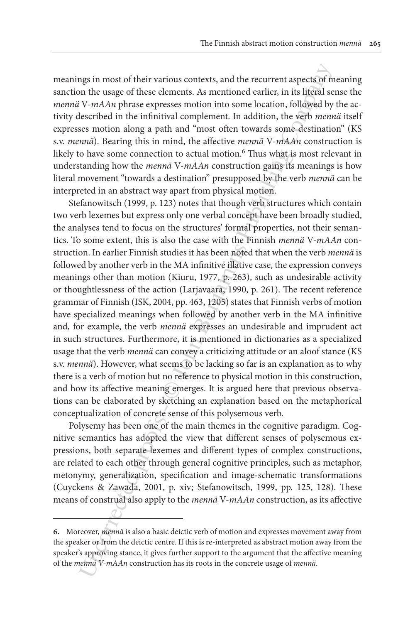meanings in most of their various contexts, and the recurrent aspects of meaning sanction the usage of these elements. As mentioned earlier, in its literal sense the *mennä* V-*mAAn* phrase expresses motion into some location, followed by the activity described in the infinitival complement. In addition, the verb *mennä* itself expresses motion along a path and "most often towards some destination" (KS s.v. *mennä*). Bearing this in mind, the affective *mennä* V-*mAAn* construction is likely to have some connection to actual motion.<sup>6</sup> Thus what is most relevant in understanding how the *mennä* V-*mAAn* construction gains its meanings is how literal movement "towards a destination" presupposed by the verb *mennä* can be interpreted in an abstract way apart from physical motion.

ngs in most of their various contexts, and the recurrent aspects of m<br>on the usage of these elements. As mentioned earlier, in its ligeral set<br>secribed in the infinitival complement. In addition, the verty metallities<br>of Stefanowitsch (1999, p. 123) notes that though verb structures which contain two verb lexemes but express only one verbal concept have been broadly studied, the analyses tend to focus on the structures' formal properties, not their semantics. To some extent, this is also the case with the Finnish *mennä* V-*mAAn* construction. In earlier Finnish studies it has been noted that when the verb *mennä* is followed by another verb in the MA infinitive illative case, the expression conveys meanings other than motion (Kiuru, 1977, p. 263), such as undesirable activity or thoughtlessness of the action (Larjavaara, 1990, p. 261). The recent reference grammar of Finnish (ISK, 2004, pp. 463, 1205) states that Finnish verbs of motion have specialized meanings when followed by another verb in the MA infinitive and, for example, the verb *mennä* expresses an undesirable and imprudent act in such structures. Furthermore, it is mentioned in dictionaries as a specialized usage that the verb *mennä* can convey a criticizing attitude or an aloof stance (KS s.v. *mennä*). However, what seems to be lacking so far is an explanation as to why there is a verb of motion but no reference to physical motion in this construction, and how its affective meaning emerges. It is argued here that previous observations can be elaborated by sketching an explanation based on the metaphorical conceptualization of concrete sense of this polysemous verb.

Polysemy has been one of the main themes in the cognitive paradigm. Cognitive semantics has adopted the view that different senses of polysemous expressions, both separate lexemes and different types of complex constructions, are related to each other through general cognitive principles, such as metaphor, metonymy, generalization, specification and image-schematic transformations (Cuyckens & Zawada, 2001, p. xiv; Stefanowitsch, 1999, pp. 125, 128). These means of construal also apply to the *mennä* V-*mAAn* construction, as its affective

**<sup>6.</sup>** Moreover, *mennä* is also a basic deictic verb of motion and expresses movement away from the speaker or from the deictic centre. If this is re-interpreted as abstract motion away from the speaker's approving stance, it gives further support to the argument that the affective meaning of the *mennä V-mAAn* construction has its roots in the concrete usage of *mennä*.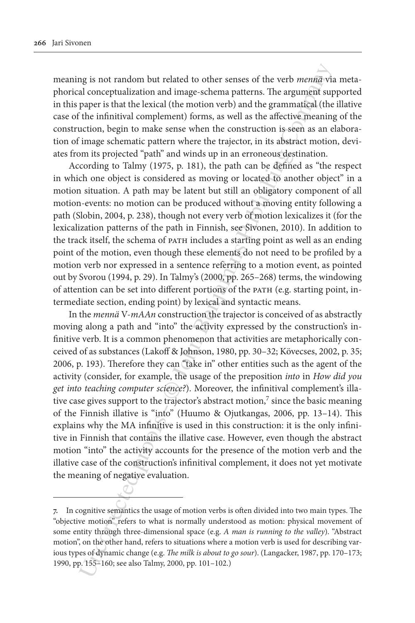meaning is not random but related to other senses of the verb *mennä* via metaphorical conceptualization and image-schema patterns. The argument supported in this paper is that the lexical (the motion verb) and the grammatical (the illative case of the infinitival complement) forms, as well as the affective meaning of the construction, begin to make sense when the construction is seen as an elaboration of image schematic pattern where the trajector, in its abstract motion, deviates from its projected "path" and winds up in an erroneous destination.

According to Talmy (1975, p. 181), the path can be defined as "the respect in which one object is considered as moving or located to another object" in a motion situation. A path may be latent but still an obligatory component of all motion-events: no motion can be produced without a moving entity following a path (Slobin, 2004, p. 238), though not every verb of motion lexicalizes it (for the lexicalization patterns of the path in Finnish, see Sivonen, 2010). In addition to the track itself, the schema of path includes a starting point as well as an ending point of the motion, even though these elements do not need to be profiled by a motion verb nor expressed in a sentence referring to a motion event, as pointed out by Svorou (1994, p. 29). In Talmy's (2000, pp. 265–268) terms, the windowing of attention can be set into different portions of the path (e.g. starting point, intermediate section, ending point) by lexical and syntactic means.

ng is not random but related to other senses of the verb mentizy of<br>al conceptualization and image-schema patterns. The argument suppor-<br>is that the lexical (the motion verb) and the grammatized (the minimized approximate In the *mennä* V-*mAAn* construction the trajector is conceived of as abstractly moving along a path and "into" the activity expressed by the construction's infinitive verb. It is a common phenomenon that activities are metaphorically conceived of as substances (Lakoff & Johnson, 1980, pp. 30–32; Kövecses, 2002, p. 35; 2006, p. 193). Therefore they can "take in" other entities such as the agent of the activity (consider, for example, the usage of the preposition *into* in *How did you get into teaching computer science?*). Moreover, the infinitival complement's illative case gives support to the trajector's abstract motion, $<sup>7</sup>$  since the basic meaning</sup> of the Finnish illative is "into" (Huumo & Ojutkangas, 2006, pp. 13–14). This explains why the MA infinitive is used in this construction: it is the only infinitive in Finnish that contains the illative case. However, even though the abstract motion "into" the activity accounts for the presence of the motion verb and the illative case of the construction's infinitival complement, it does not yet motivate the meaning of negative evaluation.

**<sup>7.</sup>** In cognitive semantics the usage of motion verbs is often divided into two main types. The "objective motion" refers to what is normally understood as motion: physical movement of some entity through three-dimensional space (e.g. *A man is running to the valley*). "Abstract motion", on the other hand, refers to situations where a motion verb is used for describing various types of dynamic change (e.g. *The milk is about to go sour*). (Langacker, 1987, pp. 170–173; 1990, pp. 155–160; see also Talmy, 2000, pp. 101–102.)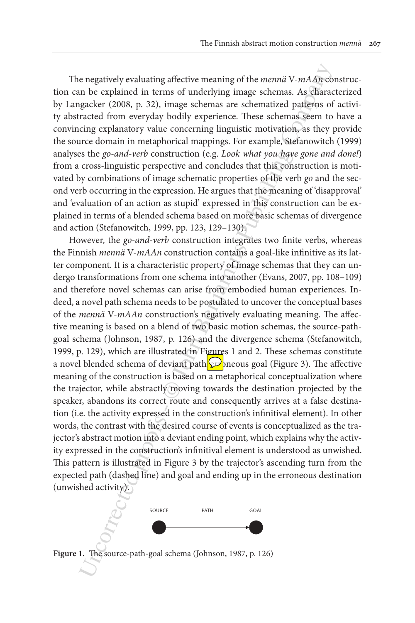The negatively evaluating affective meaning of the *mennä* V-*mAAn* construction can be explained in terms of underlying image schemas. As characterized by Langacker (2008, p. 32), image schemas are schematized patterns of activity abstracted from everyday bodily experience. These schemas seem to have a convincing explanatory value concerning linguistic motivation, as they provide the source domain in metaphorical mappings. For example, Stefanowitch (1999) analyses the *go-and-verb* construction (e.g. *Look what you have gone and done!*) from a cross-linguistic perspective and concludes that this construction is motivated by combinations of image schematic properties of the verb *go* and the second verb occurring in the expression. He argues that the meaning of 'disapproval' and 'evaluation of an action as stupid' expressed in this construction can be explained in terms of a blended schema based on more basic schemas of divergence and action (Stefanowitch, 1999, pp. 123, 129–130).

e negatively evaluating affective meaning of the *mema*  $N$ -*mAAry* conderating affective meaning of the *mema*  $N$ -*mAAry* conderate (2008, p. 32), image schemas. As characted patters (2008, p. 32), image schemas are sch However, the *go-and-verb* construction integrates two finite verbs, whereas the Finnish *mennä* V-*mAAn* construction contains a goal-like infinitive as its latter component. It is a characteristic property of image schemas that they can undergo transformations from one schema into another (Evans, 2007, pp. 108–109) and therefore novel schemas can arise from embodied human experiences. Indeed, a novel path schema needs to be postulated to uncover the conceptual bases of the *mennä* V-*mAAn* construction's negatively evaluating meaning. The affective meaning is based on a blend of two basic motion schemas, the source-pathgoal schema (Johnson, 1987, p. 126) and the divergence schema (Stefanowitch, 1999, p. 129), which are illustrated in Figures 1 and 2. These schemas constitute a novel blended schema of deviant path  $\wp$  neous goal (Figure 3). The affective meaning of the construction is based on a metaphorical conceptualization where the trajector, while abstractly moving towards the destination projected by the speaker, abandons its correct route and consequently arrives at a false destination (i.e. the activity expressed in the construction's infinitival element). In other words, the contrast with the desired course of events is conceptualized as the trajector's abstract motion into a deviant ending point, which explains why the activity expressed in the construction's infinitival element is understood as unwished. This pattern is illustrated in Figure 3 by the trajector's ascending turn from the expected path (dashed line) and goal and ending up in the erroneous destination (unwished activity).



**Figure 1.** The source-path-goal schema (Johnson, 1987, p. 126)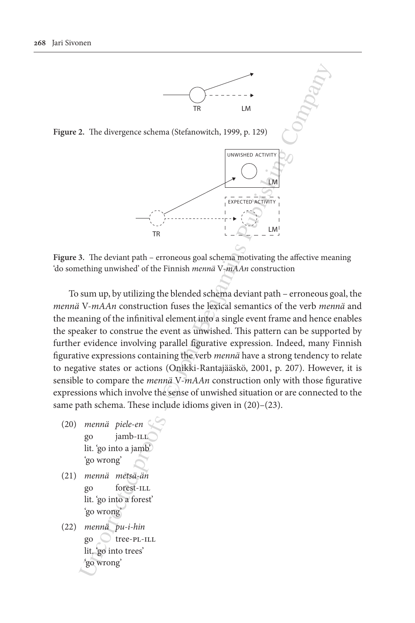

**Figure 2.** The divergence schema (Stefanowitch, 1999, p. 129)



**Figure 3.** The deviant path – erroneous goal schema motivating the affective meaning 'do something unwished' of the Finnish *mennä* V-*mAAn* construction

2. The divergence schema (Stefanovitch, 1999, p. 129)<br>
2. The divergence schema (Stefanovitch, 1999, p. 129)<br>  $\overline{PR}$ <br>
3. The devian path – erroneous goal schema motivating the affective meeting<br>
3. The deviant path – er To sum up, by utilizing the blended schema deviant path – erroneous goal, the *mennä* V-*mAAn* construction fuses the lexical semantics of the verb *mennä* and the meaning of the infinitival element into a single event frame and hence enables the speaker to construe the event as unwished. This pattern can be supported by further evidence involving parallel figurative expression. Indeed, many Finnish figurative expressions containing the verb *mennä* have a strong tendency to relate to negative states or actions (Onikki-Rantajääskö, 2001, p. 207). However, it is sensible to compare the *mennä* V-*mAAn* construction only with those figurative expressions which involve the sense of unwished situation or are connected to the same path schema. These include idioms given in (20)–(23).

- (20) *mennä piele-en* gojamb-ill lit. 'go into a jamb' 'go wrong'
- (21) *mennä metsä-än* goforest-ill lit. 'go into a forest' 'go wrong'
- (22) *mennä pu-i-hin* gotree-pl-ill lit. 'go into trees' 'go wrong'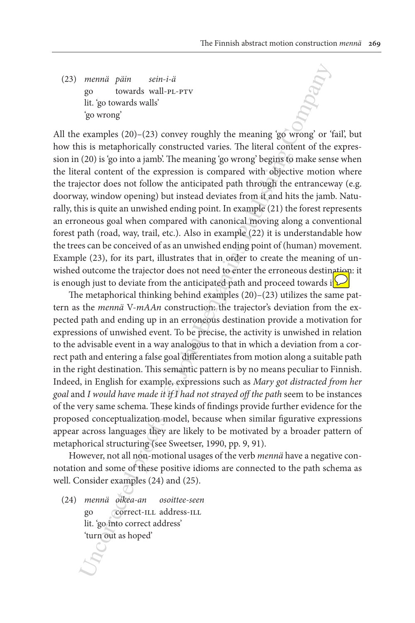(23) *mennä päin sein-i-ä* gotowards wall-pl-ptv lit. 'go towards walls' 'go wrong'

All the examples (20)–(23) convey roughly the meaning 'go wrong' or 'fail', but how this is metaphorically constructed varies. The literal content of the expression in (20) is 'go into a jamb'. The meaning 'go wrong' begins to make sense when the literal content of the expression is compared with objective motion where the trajector does not follow the anticipated path through the entranceway (e.g. doorway, window opening) but instead deviates from it and hits the jamb. Naturally, this is quite an unwished ending point. In example (21) the forest represents an erroneous goal when compared with canonical moving along a conventional forest path (road, way, trail, etc.). Also in example (22) it is understandable how the trees can be conceived of as an unwished ending point of (human) movement. Example (23), for its part, illustrates that in order to create the meaning of unwished outcome the trajector does not need to enter the erroneous destination: it is enough just to deviate from the anticipated path and proceed towards  $i[\nabla]$ 

memai paim sein-i-a<br>go towards wall-P1-PrV<br>go towards wall-P1-PrV<br>go towards wall-P1-PrV<br>is is not<br>examples (20)-(23) convey roughly the meaning 'go worong' or "<br>is in smotted proofs". The litted control of the<br>going is g The metaphorical thinking behind examples (20)–(23) utilizes the same pattern as the *mennä* V-*mAAn* construction: the trajector's deviation from the expected path and ending up in an erroneous destination provide a motivation for expressions of unwished event. To be precise, the activity is unwished in relation to the advisable event in a way analogous to that in which a deviation from a correct path and entering a false goal differentiates from motion along a suitable path in the right destination. This semantic pattern is by no means peculiar to Finnish. Indeed, in English for example, expressions such as *Mary got distracted from her goal* and *I would have made it if I had not strayed off the path* seem to be instances of the very same schema. These kinds of findings provide further evidence for the proposed conceptualization model, because when similar figurative expressions appear across languages they are likely to be motivated by a broader pattern of metaphorical structuring (see Sweetser, 1990, pp. 9, 91).

However, not all non-motional usages of the verb *mennä* have a negative connotation and some of these positive idioms are connected to the path schema as well. Consider examples (24) and (25).

(24) *mennä oikea-an osoittee-seen* go correct-ill address-ill lit. 'go into correct address' 'turn out as hoped'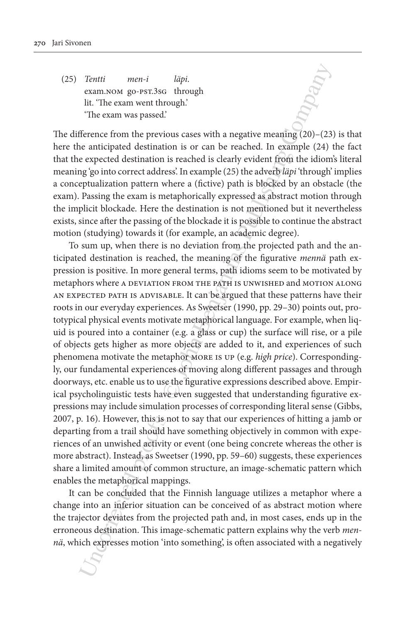(25) *Tentti men-i läpi*. exam.NOM go-PST.3sG through lit. 'The exam went through.' 'The exam was passed.'

The difference from the previous cases with a negative meaning (20)–(23) is that here the anticipated destination is or can be reached. In example (24) the fact that the expected destination is reached is clearly evident from the idiom's literal meaning 'go into correct address'. In example (25) the adverb *läpi* 'through' implies a conceptualization pattern where a (fictive) path is blocked by an obstacle (the exam). Passing the exam is metaphorically expressed as abstract motion through the implicit blockade. Here the destination is not mentioned but it nevertheless exists, since after the passing of the blockade it is possible to continue the abstract motion (studying) towards it (for example, an academic degree).

Tentii men-i läpi.<br>
Ceann.Noot go-rs:1.3sc through<br>
if: The exam wear hronghi.<br>
The exam was passed.<br>
The exam was passed.<br>
The exam was passed.<br>
The exam was passed.<br>
There is the rest in the rest of the rest information To sum up, when there is no deviation from the projected path and the anticipated destination is reached, the meaning of the figurative *mennä* path expression is positive. In more general terms, path idioms seem to be motivated by metaphors where a DEVIATION FROM THE PATH IS UNWISHED and MOTION ALONG an expected path is advisable. It can be argued that these patterns have their roots in our everyday experiences. As Sweetser (1990, pp. 29–30) points out, prototypical physical events motivate metaphorical language. For example, when liquid is poured into a container (e.g. a glass or cup) the surface will rise, or a pile of objects gets higher as more objects are added to it, and experiences of such phenomena motivate the metaphor more is up (e.g. *high price*). Correspondingly, our fundamental experiences of moving along different passages and through doorways, etc. enable us to use the figurative expressions described above. Empirical psycholinguistic tests have even suggested that understanding figurative expressions may include simulation processes of corresponding literal sense (Gibbs, 2007, p. 16). However, this is not to say that our experiences of hitting a jamb or departing from a trail should have something objectively in common with experiences of an unwished activity or event (one being concrete whereas the other is more abstract). Instead, as Sweetser (1990, pp. 59–60) suggests, these experiences share a limited amount of common structure, an image-schematic pattern which enables the metaphorical mappings.

It can be concluded that the Finnish language utilizes a metaphor where a change into an inferior situation can be conceived of as abstract motion where the trajector deviates from the projected path and, in most cases, ends up in the erroneous destination. This image-schematic pattern explains why the verb *mennä*, which expresses motion 'into something', is often associated with a negatively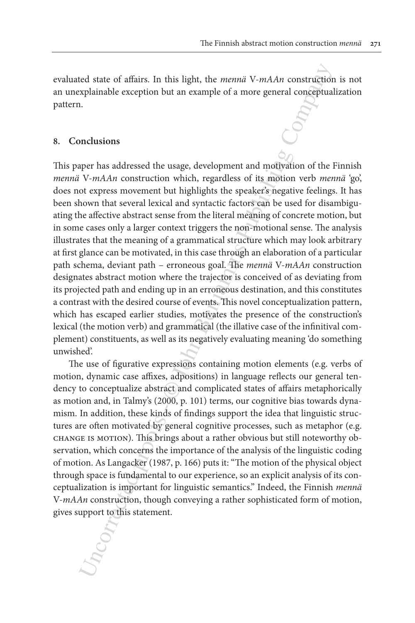evaluated state of affairs. In this light, the *mennä* V-*mAAn* construction is not an unexplainable exception but an example of a more general conceptualization pattern.

#### **8. Conclusions**

ted state of affairs. In this light, the *mema* V-*mAAn* construction<br>xplainable exception but an example of a more general consequentary<br>nodusions<br>increases and<br>cost of the proof of the company of the company of the v-mA This paper has addressed the usage, development and motivation of the Finnish *mennä* V-*mAAn* construction which, regardless of its motion verb *mennä* 'go', does not express movement but highlights the speaker's negative feelings. It has been shown that several lexical and syntactic factors can be used for disambiguating the affective abstract sense from the literal meaning of concrete motion, but in some cases only a larger context triggers the non-motional sense. The analysis illustrates that the meaning of a grammatical structure which may look arbitrary at first glance can be motivated, in this case through an elaboration of a particular path schema, deviant path – erroneous goal. The *mennä* V-*mAAn* construction designates abstract motion where the trajector is conceived of as deviating from its projected path and ending up in an erroneous destination, and this constitutes a contrast with the desired course of events. This novel conceptualization pattern, which has escaped earlier studies, motivates the presence of the construction's lexical (the motion verb) and grammatical (the illative case of the infinitival complement) constituents, as well as its negatively evaluating meaning 'do something unwished'.

The use of figurative expressions containing motion elements (e.g. verbs of motion, dynamic case affixes, adpositions) in language reflects our general tendency to conceptualize abstract and complicated states of affairs metaphorically as motion and, in Talmy's (2000, p. 101) terms, our cognitive bias towards dynamism. In addition, these kinds of findings support the idea that linguistic structures are often motivated by general cognitive processes, such as metaphor (e.g. change is motion). This brings about a rather obvious but still noteworthy observation, which concerns the importance of the analysis of the linguistic coding of motion. As Langacker (1987, p. 166) puts it: "The motion of the physical object through space is fundamental to our experience, so an explicit analysis of its conceptualization is important for linguistic semantics." Indeed, the Finnish *mennä* V-*mAAn* construction, though conveying a rather sophisticated form of motion, gives support to this statement.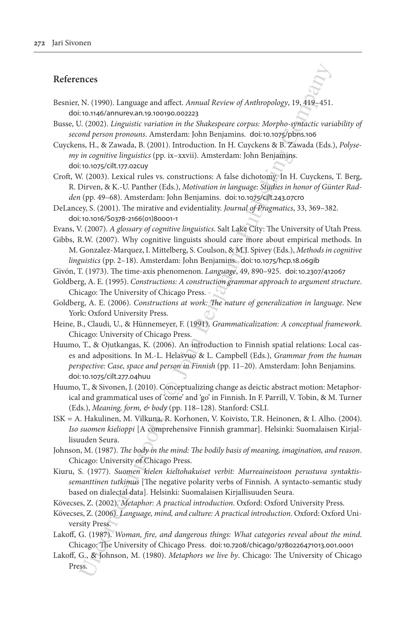## **References**

- Besnier, N. (1990). Language and affect. *Annual Review of Anthropology*, 19, 419–451. doi:[10.1146/annurev.an.19.100190.002223](http://dx.doi.org/10.1146/annurev.an.19.100190.002223)
- Busse, U. (2002). *Linguistic variation in the Shakespeare corpus: Morpho-syntactic variability of second person pronouns*. Amsterdam: John Benjamins. doi:10.1075/pbns.106
- Cuyckens, H., & Zawada, B. (2001). Introduction. In H. Cuyckens & B. Zawada (Eds.), *Polysemy in cognitive linguistics* (pp. ix–xxvii). Amsterdam: John Benjamins. doi:[10.1075/cilt.177.02cuy](http://dx.doi.org/10.1075/cilt.177.02cuy)
- Croft, W. (2003). Lexical rules vs. constructions: A false dichotomy. In H. Cuyckens, T. Berg, R. Dirven, & K.-U. Panther (Eds.), *Motivation in language: Studies in honor of Günter Radden* (pp. 49–68). Amsterdam: John Benjamins. doi:10.1075/cilt.243.07cro
- DeLancey, S. (2001). The mirative and evidentiality. *Journal of Pragmatics*, 33, 369–382. doi:[10.1016/S0378-2166\(01\)80001-1](http://dx.doi.org/10.1016/S0378-2166(01)80001-1)
- Evans, V. (2007). *A glossary of cognitive linguistics*. Salt Lake City: The University of Utah Press.
- Gibbs, R.W. (2007). Why cognitive linguists should care more about empirical methods. In M. Gonzalez-Marquez, I. Mittelberg, S. Coulson, & M.J. Spivey (Eds.), *Methods in cognitive linguistics* (pp. 2–18). Amsterdam: John Benjamins. doi:10.1075/hcp.18.06gib
- Givón, T. (1973). The time-axis phenomenon. *Language*, 49, 890–925. doi:10.2307/412067
- Goldberg, A. E. (1995). *Constructions: A construction grammar approach to argument structure*. Chicago: The University of Chicago Press.
- Goldberg, A. E. (2006). *Constructions at work: The nature of generalization in language*. New York: Oxford University Press.
- Heine, B., Claudi, U., & Hünnemeyer, F. (1991). *Grammaticalization: A conceptual framework*. Chicago: University of Chicago Press.
- **EVALUAT CONSTRANT CONSTRANT CONSTRANT CONSTRANT (2003)**. In the Solic CAMBON CONSTRANT CONSTRANT CONSTRANT CONSTRANT CONSTRANT CONSTRANT CONSTRANT CONSTRANT CONSTRANT CONSTRANT CONSTRANT CONSTRANT CONSTRANT CONSTRANT CONS Huumo, T., & Ojutkangas, K. (2006). An introduction to Finnish spatial relations: Local cases and adpositions. In M.-L. Helasvuo & L. Campbell (Eds.), *Grammar from the human perspective: Case, space and person in Finnish* (pp. 11–20). Amsterdam: John Benjamins. doi:[10.1075/cilt.277.04huu](http://dx.doi.org/10.1075/cilt.277.04huu)
- Huumo, T., & Sivonen, J. (2010). Conceptualizing change as deictic abstract motion: Metaphorical and grammatical uses of 'come' and 'go' in Finnish. In F. Parrill, V. Tobin, & M. Turner (Eds.), *Meaning, form, & body* (pp. 118–128). Stanford: CSLI.
- ISK = A. Hakulinen, M. Vilkuna, R. Korhonen, V. Koivisto, T.R. Heinonen, & I. Alho. (2004). *Iso suomen kielioppi* [A comprehensive Finnish grammar]. Helsinki: Suomalaisen Kirjallisuuden Seura.
- Johnson, M. (1987). *The body in the mind: The bodily basis of meaning, imagination, and reason*. Chicago: University of Chicago Press.
- Kiuru, S. (1977). *Suomen kielen kieltohakuiset verbit: Murreaineistoon perustuva syntaktissemanttinen tutkimus* [The negative polarity verbs of Finnish. A syntacto-semantic study based on dialectal data]. Helsinki: Suomalaisen Kirjallisuuden Seura.
- Kövecses, Z. (2002). *Metaphor: A practical introduction*. Oxford: Oxford University Press.
- Kövecses, Z. (2006). *Language, mind, and culture: A practical introduction*. Oxford: Oxford University Press.
- Lakoff, G. (1987). *Woman, fire, and dangerous things: What categories reveal about the mind*. Chicago: The University of Chicago Press. doi:[10.7208/chicago/9780226471013.001.0001](http://dx.doi.org/10.7208/chicago/9780226471013.001.0001)
- Lakoff, G., & Johnson, M. (1980). *Metaphors we live by*. Chicago: The University of Chicago Press.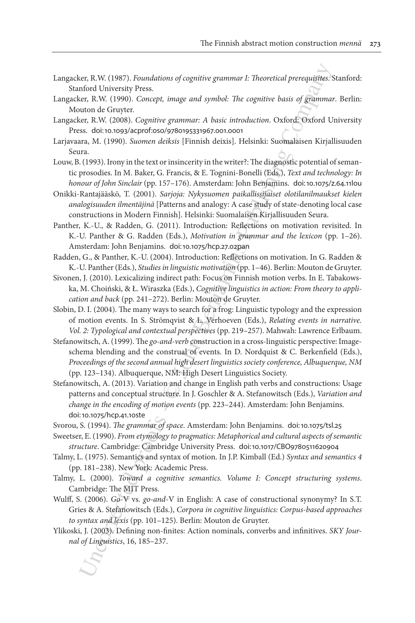- Langacker, R.W. (1987). *Foundations of cognitive grammar I: Theoretical prerequisites*. Stanford: Stanford University Press.
- Langacker, R.W. (1990). *Concept, image and symbol: The cognitive basis of grammar*. Berlin: Mouton de Gruyter.
- Langacker, R.W. (2008). *Cognitive grammar: A basic introduction*. Oxford: Oxford University Press. doi:[10.1093/acprof:oso/9780195331967.001.0001](http://dx.doi.org/10.1093/acprof:oso/9780195331967.001.0001)
- Larjavaara, M. (1990). *Suomen deiksis* [Finnish deixis]. Helsinki: Suomalaisen Kirjallisuuden Seura.
- Louw, B. (1993). Irony in the text or insincerity in the writer?: The diagnostic potential of semantic prosodies. In M. Baker, G. Francis, & E. Tognini-Bonelli (Eds.), *Text and technology: In honour of John Sinclair* (pp. 157–176). Amsterdam: John Benjamins. doi:[10.1075/z.64.11lou](http://dx.doi.org/10.1075/z.64.11lou)
- Onikki-Rantajääskö, T. (2001). *Sarjoja: Nykysuomen paikallissijaiset olotilanilmaukset kielen analogisuuden ilmentäjinä* [Patterns and analogy: A case study of state-denoting local case constructions in Modern Finnish]. Helsinki: Suomalaisen Kirjallisuuden Seura.
- Panther, K.-U., & Radden, G. (2011). Introduction: Reflections on motivation revisited. In K.-U. Panther & G. Radden (Eds.), *Motivation in grammar and the lexicon* (pp. 1–26). Amsterdam: John Benjamins. doi:10.1075/hcp.27.02pan
- Radden, G., & Panther, K.-U. (2004). Introduction: Reflections on motivation. In G. Radden & K.-U. Panther (Eds.), *Studies in linguistic motivation* (pp. 1–46). Berlin: Mouton de Gruyter.
- Sivonen, J. (2010). Lexicalizing indirect path: Focus on Finnish motion verbs. In E. Tabakowska, M. Choiński, & Ł. Wiraszka (Eds.), *Cognitive linguistics in action: From theory to application and back* (pp. 241–272). Berlin: Mouton de Gruyter.
- Slobin, D. I. (2004). The many ways to search for a frog: Linguistic typology and the expression of motion events. In S. Strömqvist & L. Verhoeven (Eds.), *Relating events in narrative. Vol. 2: Typological and contextual perspectives* (pp. 219–257). Mahwah: Lawrence Erlbaum.
- eer, R.W. (1987). Foundations of cognitive grammar *E*: Theoretical prerequigites:<br>
nence Luncorestiy Press.<br>
nence Luncorested proofs and symbol: The cognitive basis of grammar<br>
networks Corrected proofs and symbol: The Stefanowitsch, A. (1999). The *go-and-verb* construction in a cross-linguistic perspective: Imageschema blending and the construal of events. In D. Nordquist & C. Berkenfield (Eds.), *Proceedings of the second annual high desert linguistics society conference, Albuquerque, NM* (pp. 123–134). Albuquerque, NM: High Desert Linguistics Society.
- Stefanowitsch, A. (2013). Variation and change in English path verbs and constructions: Usage patterns and conceptual structure. In J. Goschler & A. Stefanowitsch (Eds.), *Variation and change in the encoding of motion events* (pp. 223–244). Amsterdam: John Benjamins. doi:10.1075/hcp.41.10ste
- Svorou, S. (1994). *The grammar of space*. Amsterdam: John Benjamins. doi:[10.1075/tsl.25](http://dx.doi.org/10.1075/tsl.25)
- Sweetser, E. (1990). *From etymology to pragmatics: Metaphorical and cultural aspects of semantic structure*. Cambridge: Cambridge University Press. doi:[10.1017/CBO9780511620904](http://dx.doi.org/10.1017/CBO9780511620904)
- Talmy, L. (1975). Semantics and syntax of motion. In J.P. Kimball (Ed.) *Syntax and semantics 4* (pp. 181–238). New York: Academic Press.
- Talmy, L. (2000). *Toward a cognitive semantics. Volume I: Concept structuring systems*. Cambridge: The MIT Press.
- Wulff, S. (2006). *Go*-V vs. *go-and*-V in English: A case of constructional synonymy? In S.T. Gries & A. Stefanowitsch (Eds.), *Corpora in cognitive linguistics: Corpus-based approaches to syntax and lexis* (pp. 101–125). Berlin: Mouton de Gruyter.
- Ylikoski, J. (2003). Defining non-finites: Action nominals, converbs and infinitives. *SKY Journal of Linguistics*, 16, 185–237.